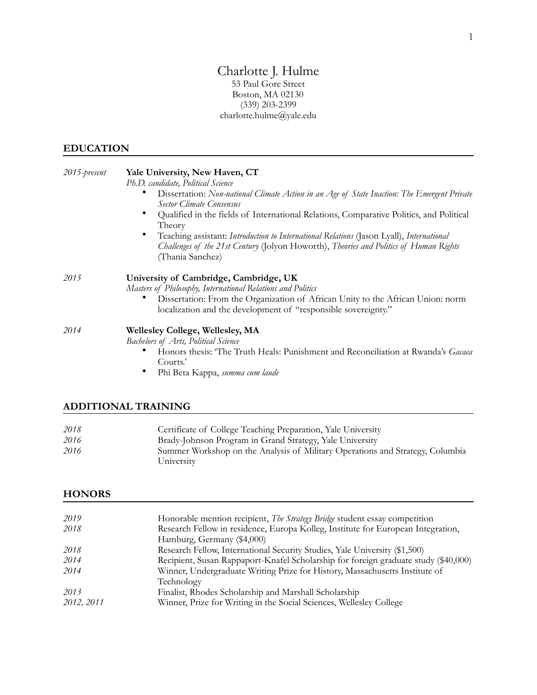### Charlotte J. Hulme 53 Paul Gore Street Boston, MA 02130

(339) 203-2399 [charlotte.hulme@yale.edu](mailto:charlotte.hulme@yale.edu) 

#### **EDUCATION**

| 2015-present | Yale University, New Haven, CT                                                                                                                                                                         |  |
|--------------|--------------------------------------------------------------------------------------------------------------------------------------------------------------------------------------------------------|--|
|              | Ph.D. candidate, Political Science                                                                                                                                                                     |  |
|              | Dissertation: Non-national Climate Action in an Age of State Inaction: The Emergent Private<br>Sector Climate Consensus                                                                                |  |
|              | Qualified in the fields of International Relations, Comparative Politics, and Political<br>Theory                                                                                                      |  |
|              | Teaching assistant: Introduction to International Relations (Jason Lyall), International<br>Challenges of the 21st Century (Jolyon Howorth), Theories and Politics of Human Rights<br>(Thania Sanchez) |  |
| 2015         | University of Cambridge, Cambridge, UK<br>Masters of Philosophy, International Relations and Politics                                                                                                  |  |
|              | Dissertation: From the Organization of African Unity to the African Union: norm<br>localization and the development of "responsible sovereignty."                                                      |  |
| 2014         | <b>Wellesley College, Wellesley, MA</b>                                                                                                                                                                |  |
|              | Bachelors of Arts, Political Science                                                                                                                                                                   |  |
|              | Honors thesis: 'The Truth Heals: Punishment and Reconciliation at Rwanda's Gacaca<br>Courts.'                                                                                                          |  |
|              | Phi Beta Kappa, summa cum laude                                                                                                                                                                        |  |

# **ADDITIONAL TRAINING**

| 2018 | Certificate of College Teaching Preparation, Yale University                  |
|------|-------------------------------------------------------------------------------|
| 2016 | Brady-Johnson Program in Grand Strategy, Yale University                      |
| 2016 | Summer Workshop on the Analysis of Military Operations and Strategy, Columbia |
|      | University                                                                    |

### **HONORS**

| 2019       | Honorable mention recipient, The Strategy Bridge student essay competition          |
|------------|-------------------------------------------------------------------------------------|
| 2018       | Research Fellow in residence, Europa Kolleg, Institute for European Integration,    |
|            | Hamburg, Germany (\$4,000)                                                          |
| 2018       | Research Fellow, International Security Studies, Yale University (\$1,500)          |
| 2014       | Recipient, Susan Rappaport-Knafel Scholarship for foreign graduate study (\$40,000) |
| 2014       | Winner, Undergraduate Writing Prize for History, Massachusetts Institute of         |
|            | Technology                                                                          |
| 2013       | Finalist, Rhodes Scholarship and Marshall Scholarship                               |
| 2012, 2011 | Winner, Prize for Writing in the Social Sciences, Wellesley College                 |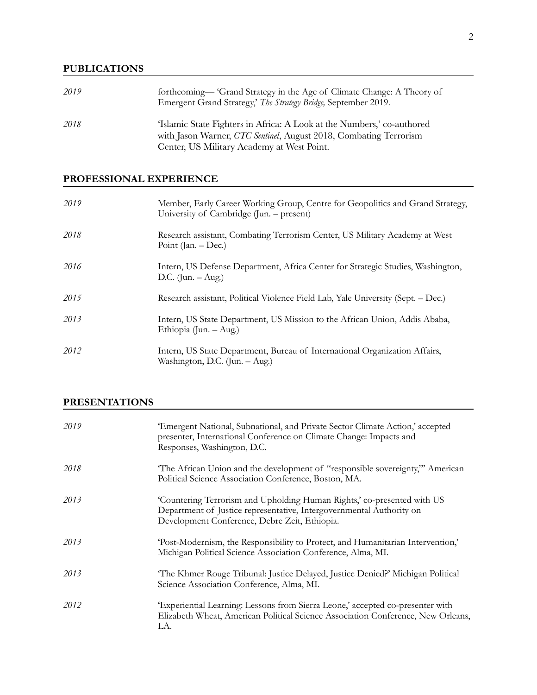### **PUBLICATIONS**

| 2019 | forthcoming-'Grand Strategy in the Age of Climate Change: A Theory of<br>Emergent Grand Strategy,' The Strategy Bridge, September 2019.                                                   |
|------|-------------------------------------------------------------------------------------------------------------------------------------------------------------------------------------------|
| 2018 | 'Islamic State Fighters in Africa: A Look at the Numbers,' co-authored<br>with Jason Warner, CTC Sentinel, August 2018, Combating Terrorism<br>Center, US Military Academy at West Point. |

## **PROFESSIONAL EXPERIENCE**

| 2019 | Member, Early Career Working Group, Centre for Geopolitics and Grand Strategy,<br>University of Cambridge (Jun. – present) |
|------|----------------------------------------------------------------------------------------------------------------------------|
| 2018 | Research assistant, Combating Terrorism Center, US Military Academy at West<br>Point (Jan. $-\text{Dec.}$ )                |
| 2016 | Intern, US Defense Department, Africa Center for Strategic Studies, Washington,<br>D.C. $($ Jun. $-$ Aug. $)$              |
| 2015 | Research assistant, Political Violence Field Lab, Yale University (Sept. – Dec.)                                           |
| 2013 | Intern, US State Department, US Mission to the African Union, Addis Ababa,<br>Ethiopia (Jun. – Aug.)                       |
| 2012 | Intern, US State Department, Bureau of International Organization Affairs,<br>Washington, D.C. (Jun. – Aug.)               |

## **PRESENTATIONS**

| 2019 | 'Emergent National, Subnational, and Private Sector Climate Action,' accepted<br>presenter, International Conference on Climate Change: Impacts and<br>Responses, Washington, D.C.               |
|------|--------------------------------------------------------------------------------------------------------------------------------------------------------------------------------------------------|
| 2018 | The African Union and the development of "responsible sovereignty," American<br>Political Science Association Conference, Boston, MA.                                                            |
| 2013 | 'Countering Terrorism and Upholding Human Rights,' co-presented with US<br>Department of Justice representative, Intergovernmental Authority on<br>Development Conference, Debre Zeit, Ethiopia. |
| 2013 | 'Post-Modernism, the Responsibility to Protect, and Humanitarian Intervention,'<br>Michigan Political Science Association Conference, Alma, MI.                                                  |
| 2013 | The Khmer Rouge Tribunal: Justice Delayed, Justice Denied?' Michigan Political<br>Science Association Conference, Alma, MI.                                                                      |
| 2012 | 'Experiential Learning: Lessons from Sierra Leone,' accepted co-presenter with<br>Elizabeth Wheat, American Political Science Association Conference, New Orleans,<br>LA.                        |